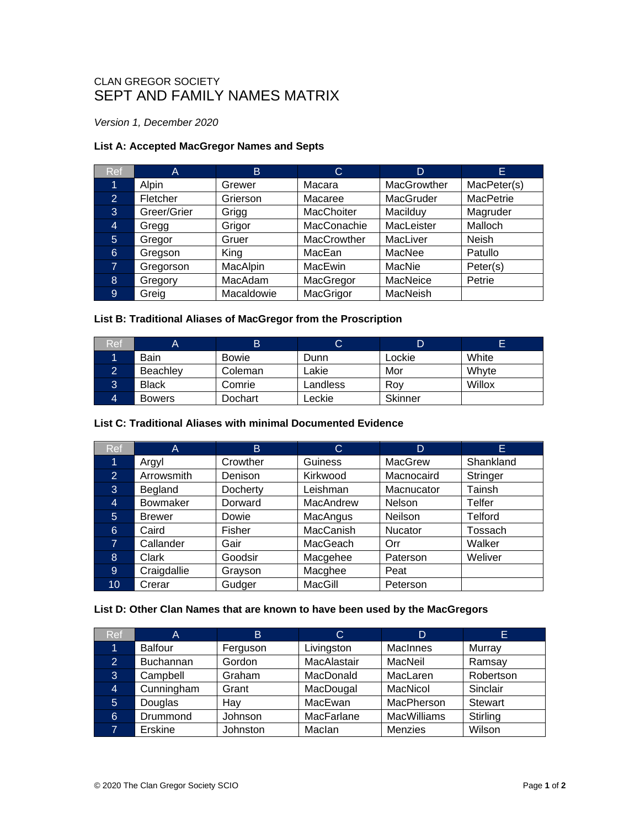# CLAN GREGOR SOCIETY SEPT AND FAMILY NAMES MATRIX

*Version 1, December 2020*

## **List A: Accepted MacGregor Names and Septs**

| <b>Ref</b>     | Α           | B          | C           | D           | Е                |
|----------------|-------------|------------|-------------|-------------|------------------|
| 1              | Alpin       | Grewer     | Macara      | MacGrowther | MacPeter(s)      |
| $\overline{2}$ | Fletcher    | Grierson   | Macaree     | MacGruder   | <b>MacPetrie</b> |
| 3              | Greer/Grier | Grigg      | MacChoiter  | Macilduy    | Magruder         |
| 4              | Gregg       | Grigor     | MacConachie | MacLeister  | Malloch          |
| 5              | Gregor      | Gruer      | MacCrowther | MacLiver    | <b>Neish</b>     |
| 6              | Gregson     | King       | MacEan      | MacNee      | Patullo          |
| 7              | Gregorson   | MacAlpin   | MacEwin     | MacNie      | Peter(s)         |
| 8              | Gregory     | MacAdam    | MacGregor   | MacNeice    | Petrie           |
| 9              | Greig       | Macaldowie | MacGrigor   | MacNeish    |                  |

# **List B: Traditional Aliases of MacGregor from the Proscription**

| اRef |                 | B            | ◡        | D       |        |
|------|-----------------|--------------|----------|---------|--------|
|      | <b>Bain</b>     | <b>Bowie</b> | Dunn     | Lockie  | White  |
|      | <b>Beachley</b> | Coleman      | Lakie    | Mor     | Whyte  |
| Ő    | <b>Black</b>    | Comrie       | Landless | Rov     | Willox |
|      | <b>Bowers</b>   | Dochart      | Leckie   | Skinner |        |

### **List C: Traditional Aliases with minimal Documented Evidence**

| <b>Ref</b>     | A               | B        | C                | D              | E.             |
|----------------|-----------------|----------|------------------|----------------|----------------|
| 1              | Argyl           | Crowther | Guiness          | MacGrew        | Shankland      |
| $\overline{2}$ | Arrowsmith      | Denison  | Kirkwood         | Macnocaird     | Stringer       |
| 3              | Begland         | Docherty | Leishman         | Macnucator     | Tainsh         |
| 4              | <b>Bowmaker</b> | Dorward  | MacAndrew        | <b>Nelson</b>  | Telfer         |
| 5              | <b>Brewer</b>   | Dowie    | MacAngus         | <b>Neilson</b> | <b>Telford</b> |
| 6              | Caird           | Fisher   | <b>MacCanish</b> | <b>Nucator</b> | Tossach        |
| $\mathbf{7}$   | Callander       | Gair     | MacGeach         | Orr            | Walker         |
| 8              | Clark           | Goodsir  | Macgehee         | Paterson       | Weliver        |
| 9              | Craigdallie     | Grayson  | Macghee          | Peat           |                |
| 10             | Crerar          | Gudger   | MacGill          | Peterson       |                |

#### **List D: Other Clan Names that are known to have been used by the MacGregors**

| Ref            | A                | B.       | C           | D                  | E.             |
|----------------|------------------|----------|-------------|--------------------|----------------|
|                | <b>Balfour</b>   | Ferguson | Livingston  | MacInnes           | Murray         |
| $\overline{2}$ | <b>Buchannan</b> | Gordon   | MacAlastair | MacNeil            | Ramsay         |
| 3              | Campbell         | Graham   | MacDonald   | MacLaren           | Robertson      |
| 4              | Cunningham       | Grant    | MacDougal   | MacNicol           | Sinclair       |
| 5              | Douglas          | Hay      | MacEwan     | MacPherson         | <b>Stewart</b> |
| 6              | Drummond         | Johnson  | MacFarlane  | <b>MacWilliams</b> | Stirling       |
|                | Erskine          | Johnston | Maclan      | Menzies            | Wilson         |